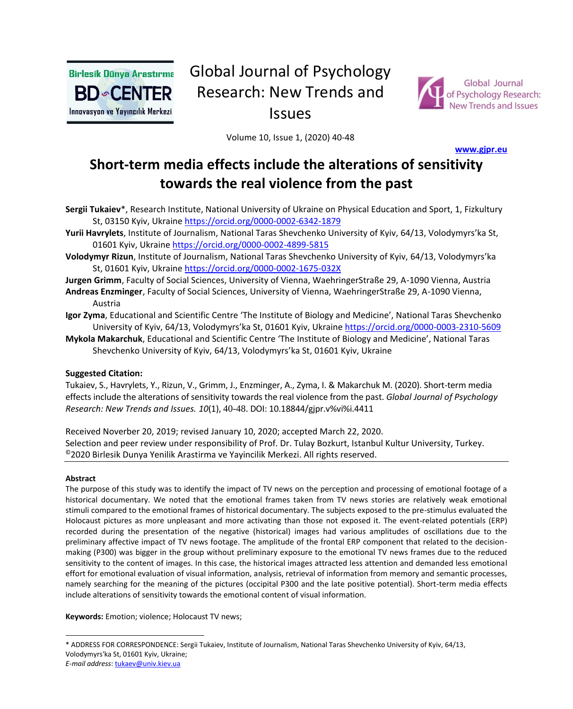

# Global Journal of Psychology Research: New Trends and Issues



Volume 10, Issue 1, (2020) 40-48

**[www.gjpr.eu](http://www.gjpr.eu/)** 

# **Short-term media effects include the alterations of sensitivity towards the real violence from the past**

**Sergii Tukaiev**\*, Research Institute, National University of Ukraine on Physical Education and Sport, 1, Fizkultury St, 03150 Kyiv, Ukraine <https://orcid.org/0000-0002-6342-1879>

**Yurii Havrylets**, Institute of Journalism, National Taras Shevchenko University of Kyiv, 64/13, Volodymyrs'ka St, 01601 Kyiv, Ukraine <https://orcid.org/0000-0002-4899-5815>

**Volodymyr Rizun**, Institute of Journalism, National Taras Shevchenko University of Kyiv, 64/13, Volodymyrs'ka St, 01601 Kyiv, Ukraine <https://orcid.org/0000-0002-1675-032X>

**Jurgen Grimm**, Faculty of Social Sciences, University of Vienna, WaehringerStraße 29, A-1090 Vienna, Austria

- **Andreas Enzminger**, Faculty of Social Sciences, University of Vienna, WaehringerStraße 29, A-1090 Vienna, Austria
- **Igor Zyma**, Educational and Scientific Centre 'The Institute of Biology and Medicine', National Taras Shevchenko University of Kyiv, 64/13, Volodymyrs'ka St, 01601 Kyiv, Ukraine <https://orcid.org/0000-0003-2310-5609>

**Mykola Makarchuk**, Educational and Scientific Centre 'The Institute of Biology and Medicine', National Taras Shevchenko University of Kyiv, 64/13, Volodymyrs'ka St, 01601 Kyiv, Ukraine

#### **Suggested Citation:**

Tukaiev, S., Havrylets, Y., Rizun, V., Grimm, J., Enzminger, A., Zyma, I. & Makarchuk M. (2020). Short-term media effects include the alterations of sensitivity towards the real violence from the past. *Global Journal of Psychology Research: New Trends and Issues. 10*(1), 40-48. DOI: 10.18844/gjpr.v%vi%i.4411

Received Noverber 20, 2019; revised January 10, 2020; accepted March 22, 2020. Selection and peer review under responsibility of Prof. Dr. Tulay Bozkurt, Istanbul Kultur University, Turkey. ©2020 Birlesik Dunya Yenilik Arastirma ve Yayincilik Merkezi. All rights reserved.

#### **Abstract**

The purpose of this study was to identify the impact of TV news on the perception and processing of emotional footage of a historical documentary. We noted that the emotional frames taken from TV news stories are relatively weak emotional stimuli compared to the emotional frames of historical documentary. The subjects exposed to the pre-stimulus evaluated the Holocaust pictures as more unpleasant and more activating than those not exposed it. The event-related potentials (ERP) recorded during the presentation of the negative (historical) images had various amplitudes of oscillations due to the preliminary affective impact of TV news footage. The amplitude of the frontal ERP component that related to the decisionmaking (P300) was bigger in the group without preliminary exposure to the emotional TV news frames due to the reduced sensitivity to the content of images. In this case, the historical images attracted less attention and demanded less emotional effort for emotional evaluation of visual information, analysis, retrieval of information from memory and semantic processes, namely searching for the meaning of the pictures (occipital P300 and the late positive potential). Short-term media effects include alterations of sensitivity towards the emotional content of visual information.

**Keywords:** Emotion; violence; Holocaust TV news;

<sup>\*</sup> ADDRESS FOR CORRESPONDENCE: Sergii Tukaiev, Institute of Journalism, National Taras Shevchenko University of Kyiv, 64/13, Volodymyrs'ka St, 01601 Kyiv, Ukraine;

*E-mail address*[: tukaev@univ.kiev.ua](mailto:tukaev@univ.kiev.ua)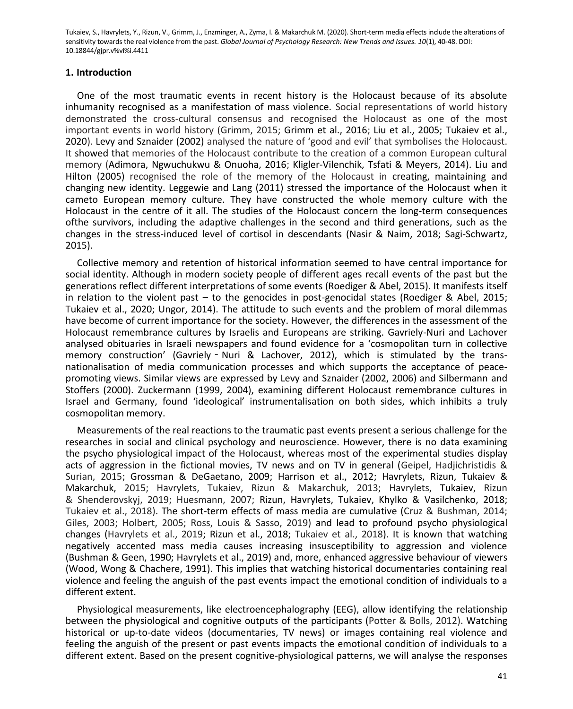### **1. Introduction**

One of the most traumatic events in recent history is the Holocaust because of its absolute inhumanity recognised as a manifestation of mass violence. Social representations of world history demonstrated the cross-cultural consensus and recognised the Holocaust as one of the most important events in world history (Grimm, 2015; Grimm et al., 2016; Liu et al., 2005; Tukaiev et al., 2020). Levy and Sznaider (2002) analysed the nature of 'good and evil' that symbolises the Holocaust. It showed that memories of the Holocaust contribute to the creation of a common European cultural memory (Adimora, Ngwuchukwu & Onuoha, 2016; Kligler-Vilenchik, Tsfati & Meyers, 2014). Liu and Hilton (2005) recognised the role of the memory of the Holocaust in creating, maintaining and changing new identity. Leggewie and Lang (2011) stressed the importance of the Holocaust when it cameto European memory culture. They have constructed the whole memory culture with the Holocaust in the centre of it all. The studies of the Holocaust concern the long-term consequences ofthe survivors, including the adaptive challenges in the second and third generations, such as the changes in the stress-induced level of cortisol in descendants (Nasir & Naim, 2018; Sagi-Schwartz, 2015).

Collective memory and retention of historical information seemed to have central importance for social identity. Although in modern society people of different ages recall events of the past but the generations reflect different interpretations of some events (Roediger & Abel, 2015). It manifests itself in relation to the violent past – to the genocides in post-genocidal states (Roediger & Abel, 2015; Tukaiev et al., 2020; Ungor, 2014). The attitude to such events and the problem of moral dilemmas have become of current importance for the society. However, the differences in the assessment of the Holocaust remembrance cultures by Israelis and Europeans are striking. Gavriely-Nuri and Lachover analysed obituaries in Israeli newspapers and found evidence for a 'cosmopolitan turn in collective memory construction' (Gavriely - Nuri & Lachover, 2012), which is stimulated by the transnationalisation of media communication processes and which supports the acceptance of peacepromoting views. Similar views are expressed by Levy and Sznaider (2002, 2006) and Silbermann and Stoffers (2000). Zuckermann (1999, 2004), examining different Holocaust remembrance cultures in Israel and Germany, found 'ideological' instrumentalisation on both sides, which inhibits a truly cosmopolitan memory.

Measurements of the real reactions to the traumatic past events present a serious challenge for the researches in social and clinical psychology and neuroscience. However, there is no data examining the psycho physiological impact of the Holocaust, whereas most of the experimental studies display acts of aggression in the fictional movies, TV news and on TV in general (Geipel, Hadjichristidis & Surian, 2015; Grossman & DeGaetano, 2009; Harrison et al., 2012; Havrylets, Rizun, Tukaiev & Makarchuk, 2015; Havrylets, Tukaiev, Rizun & Makarchuk, 2013; Havrylets, Tukaiev, Rizun & Shenderovskyj, 2019; Huesmann, 2007; Rizun, Havrylets, Tukaiev, Khylko & Vasilchenko, 2018; Tukaiev et al., 2018). The short-term effects of mass media are cumulative (Cruz & Bushman, 2014; Giles, 2003; Holbert, 2005; Ross, Louis & Sasso, 2019) and lead to profound psycho physiological changes (Havrylets et al., 2019; Rizun et al., 2018; Tukaiev et al., 2018). It is known that watching negatively accented mass media causes increasing insusceptibility to aggression and violence (Bushman & Geen, 1990; Havrylets et al., 2019) and, more, enhanced aggressive behaviour of viewers (Wood, Wong & Chachere, 1991). This implies that watching historical documentaries containing real violence and feeling the anguish of the past events impact the emotional condition of individuals to a different extent.

Physiological measurements, like electroencephalography (EEG), allow identifying the relationship between the physiological and cognitive outputs of the participants (Potter & Bolls, 2012). Watching historical or up-to-date videos (documentaries, TV news) or images containing real violence and feeling the anguish of the present or past events impacts the emotional condition of individuals to a different extent. Based on the present cognitive-physiological patterns, we will analyse the responses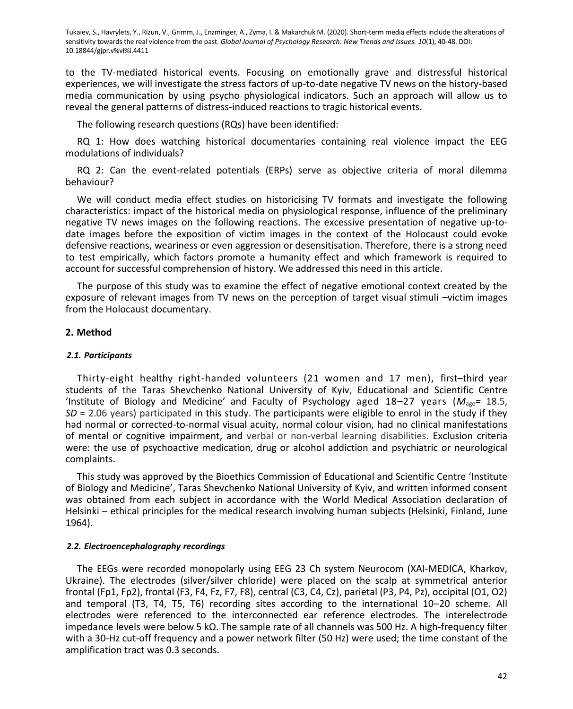to the TV-mediated historical events. Focusing on emotionally grave and distressful historical experiences, we will investigate the stress factors of up-to-date negative TV news on the history-based media communication by using psycho physiological indicators. Such an approach will allow us to reveal the general patterns of distress-induced reactions to tragic historical events.

The following research questions (RQs) have been identified:

RQ 1: How does watching historical documentaries containing real violence impact the EEG modulations of individuals?

RQ 2: Can the event-related potentials (ERPs) serve as objective criteria of moral dilemma behaviour?

We will conduct media effect studies on historicising TV formats and investigate the following characteristics: impact of the historical media on physiological response, influence of the preliminary negative TV news images on the following reactions. The excessive presentation of negative up-todate images before the exposition of victim images in the context of the Holocaust could evoke defensive reactions, weariness or even aggression or desensitisation. Therefore, there is a strong need to test empirically, which factors promote a humanity effect and which framework is required to account for successful comprehension of history. We addressed this need in this article.

The purpose of this study was to examine the effect of negative emotional context created by the exposure of relevant images from TV news on the perception of target visual stimuli –victim images from the Holocaust documentary.

#### **2. Method**

#### *2.1. Participants*

Thirty-eight healthy right-handed volunteers (21 women and 17 men), first–third year students of the Taras Shevchenko National University of Kyiv, Educational and Scientific Centre 'Institute of Biology and Medicine' and Faculty of Psychology aged 18–27 years (*M*age*=* 18.5, *SD* = 2.06 years) participated in this study. The participants were eligible to enrol in the study if they had normal or corrected-to-normal visual acuity, normal colour vision, had no clinical manifestations of mental or cognitive impairment, and verbal or non-verbal learning disabilities. Exclusion criteria were: the use of psychoactive medication, drug or alcohol addiction and psychiatric or neurological complaints.

This study was approved by the Bioethics Commission of Educational and Scientific Centre 'Institute of Biology and Medicine', Taras Shevchenko National University of Kyiv, and written informed consent was obtained from each subject in accordance with the World Medical Association declaration of Helsinki – ethical principles for the medical research involving human subjects (Helsinki, Finland, June 1964).

#### *2.2. Electroencephalography recordings*

The EEGs were recorded monopolarly using EEG 23 Ch system Neurocom (XAI-MEDICA, Kharkov, Ukraine). The electrodes (silver/silver chloride) were placed on the scalp at symmetrical anterior frontal (Fp1, Fp2), frontal (F3, F4, Fz, F7, F8), central (C3, C4, Cz), parietal (P3, P4, Pz), occipital (O1, O2) and temporal (T3, T4, T5, T6) recording sites according to the international 10–20 scheme. All electrodes were referenced to the interconnected ear reference electrodes. The interelectrode impedance levels were below 5 kΩ. The sample rate of all channels was 500 Hz. A high-frequency filter with a 30-Hz cut-off frequency and a power network filter (50 Hz) were used; the time constant of the amplification tract was 0.3 seconds.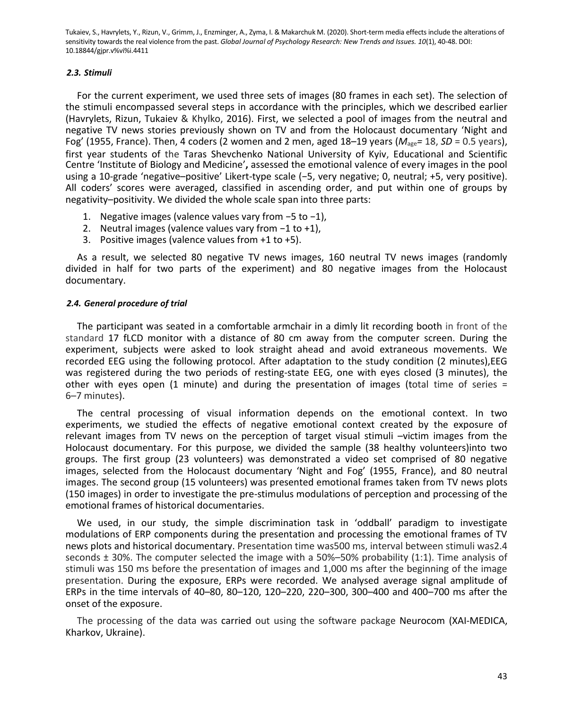#### *2.3. Stimuli*

For the current experiment, we used three sets of images (80 frames in each set). The selection of the stimuli encompassed several steps in accordance with the principles, which we described earlier (Havrylets, Rizun, Tukaiev & Khylko, 2016). First, we selected a pool of images from the neutral and negative TV news stories previously shown on TV and from the Holocaust documentary 'Night and Fog' (1955, France). Then, 4 coders (2 women and 2 men, aged 18–19 years (*M*age*=* 18, *SD* = 0.5 years), first year students of the Taras Shevchenko National University of Kyiv, Educational and Scientific Centre 'Institute of Biology and Medicine'**,** assessed the emotional valence of every images in the pool using a 10-grade 'negative–positive' Likert-type scale (−5, very negative; 0, neutral; +5, very positive). All coders' scores were averaged, classified in ascending order, and put within one of groups by negativity–positivity. We divided the whole scale span into three parts:

- 1. Negative images (valence values vary from −5 to −1),
- 2. Neutral images (valence values vary from −1 to +1),
- 3. Positive images (valence values from +1 to +5).

As a result, we selected 80 negative TV news images, 160 neutral TV news images (randomly divided in half for two parts of the experiment) and 80 negative images from the Holocaust documentary.

### *2.4. General procedure of trial*

The participant was seated in a comfortable armchair in a dimly lit recording booth in front of the standard 17 fLCD monitor with a distance of 80 cm away from the computer screen. During the experiment, subjects were asked to look straight ahead and avoid extraneous movements. We recorded EEG using the following protocol. After adaptation to the study condition (2 minutes),EEG was registered during the two periods of resting-state EEG, one with eyes closed (3 minutes), the other with eyes open (1 minute) and during the presentation of images (total time of series  $=$ 6–7 minutes).

The central processing of visual information depends on the emotional context. In two experiments, we studied the effects of negative emotional context created by the exposure of relevant images from TV news on the perception of target visual stimuli –victim images from the Holocaust documentary. For this purpose, we divided the sample (38 healthy volunteers)into two groups. The first group (23 volunteers) was demonstrated a video set comprised of 80 negative images, selected from the Holocaust documentary 'Night and Fog' (1955, France), and 80 neutral images. The second group (15 volunteers) was presented emotional frames taken from TV news plots (150 images) in order to investigate the pre-stimulus modulations of perception and processing of the emotional frames of historical documentaries.

We used, in our study, the simple discrimination task in 'oddball' paradigm to investigate modulations of ERP components during the presentation and processing the emotional frames of TV news plots and historical documentary. Presentation time was500 ms, interval between stimuli was2.4 seconds ± 30%. The computer selected the image with a 50%–50% probability (1:1). Time analysis of stimuli was 150 ms before the presentation of images and 1,000 ms after the beginning of the image presentation. During the exposure, ERPs were recorded. We analysed average signal amplitude of ERPs in the time intervals of 40–80, 80–120, 120–220, 220–300, 300–400 and 400–700 ms after the onset of the exposure.

The processing of the data was carried out using the software package Neurocom (XAI-MEDICA, Kharkov, Ukraine).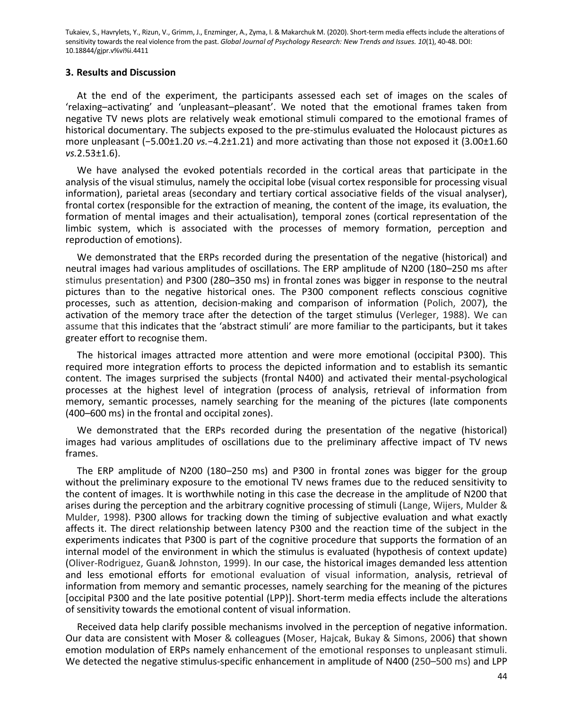#### **3. Results and Discussion**

At the end of the experiment, the participants assessed each set of images on the scales of 'relaxing–activating' and 'unpleasant–pleasant'. We noted that the emotional frames taken from negative TV news plots are relatively weak emotional stimuli compared to the emotional frames of historical documentary. The subjects exposed to the pre-stimulus evaluated the Holocaust pictures as more unpleasant (−5.00±1.20 *vs.*−4.2±1.21) and more activating than those not exposed it (3.00±1.60 *vs.*2.53±1.6).

We have analysed the evoked potentials recorded in the cortical areas that participate in the analysis of the visual stimulus, namely the occipital lobe (visual cortex responsible for processing visual information), parietal areas (secondary and tertiary cortical associative fields of the visual analyser), frontal cortex (responsible for the extraction of meaning, the content of the image, its evaluation, the formation of mental images and their actualisation), temporal zones (cortical representation of the limbic system, which is associated with the processes of memory formation, perception and reproduction of emotions).

We demonstrated that the ERPs recorded during the presentation of the negative (historical) and neutral images had various amplitudes of oscillations. The ERP amplitude of N200 (180–250 ms after stimulus presentation) and P300 (280–350 ms) in frontal zones was bigger in response to the neutral pictures than to the negative historical ones. The P300 component reflects conscious cognitive processes, such as attention, decision-making and comparison of information (Polich, 2007), the activation of the memory trace after the detection of the target stimulus (Verleger, 1988). We can assume that this indicates that the 'abstract stimuli' are more familiar to the participants, but it takes greater effort to recognise them.

The historical images attracted more attention and were more emotional (occipital P300). This required more integration efforts to process the depicted information and to establish its semantic content. The images surprised the subjects (frontal N400) and activated their mental-psychological processes at the highest level of integration (process of analysis, retrieval of information from memory, semantic processes, namely searching for the meaning of the pictures (late components (400–600 ms) in the frontal and occipital zones).

We demonstrated that the ERPs recorded during the presentation of the negative (historical) images had various amplitudes of oscillations due to the preliminary affective impact of TV news frames.

The ERP amplitude of N200 (180–250 ms) and P300 in frontal zones was bigger for the group without the preliminary exposure to the emotional TV news frames due to the reduced sensitivity to the content of images. It is worthwhile noting in this case the decrease in the amplitude of N200 that arises during the perception and the arbitrary cognitive processing of stimuli (Lange, Wijers, Mulder & Mulder, 1998). P300 allows for tracking down the timing of subjective evaluation and what exactly affects it. The direct relationship between latency P300 and the reaction time of the subject in the experiments indicates that P300 is part of the cognitive procedure that supports the formation of an internal model of the environment in which the stimulus is evaluated (hypothesis of context update) (Oliver-Rodriguez, Guan& Johnston, 1999). In our case, the historical images demanded less attention and less emotional efforts for emotional evaluation of visual information, analysis, retrieval of information from memory and semantic processes, namely searching for the meaning of the pictures [occipital P300 and the late positive potential (LPP)]. Short-term media effects include the alterations of sensitivity towards the emotional content of visual information.

Received data help clarify possible mechanisms involved in the perception of negative information. Our data are consistent with Moser & colleagues (Moser, Hajcak, Bukay & Simons, 2006) that shown emotion modulation of ERPs namely enhancement of the emotional responses to unpleasant stimuli. We detected the negative stimulus-specific enhancement in amplitude of N400 (250–500 ms) and LPP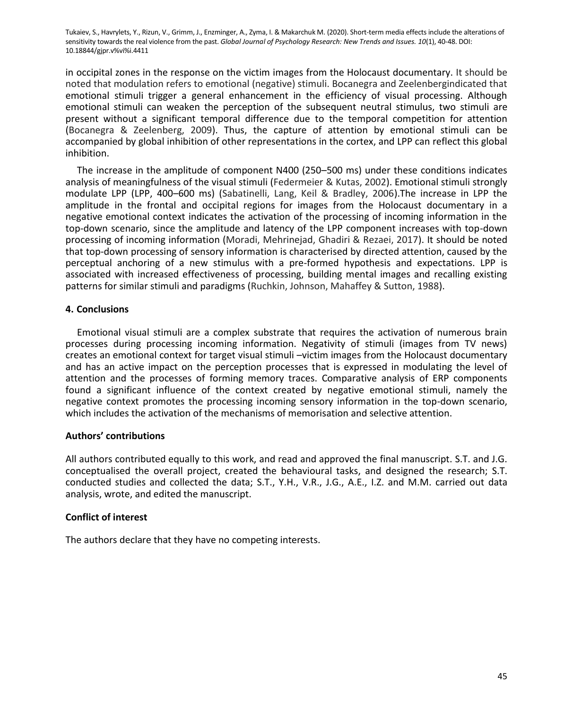in occipital zones in the response on the victim images from the Holocaust documentary. It should be noted that modulation refers to emotional (negative) stimuli. Bocanegra and Zeelenbergindicated that emotional stimuli trigger a general enhancement in the efficiency of visual processing. Although emotional stimuli can weaken the perception of the subsequent neutral stimulus, two stimuli are present without a significant temporal difference due to the temporal competition for attention (Bocanegra & Zeelenberg, 2009). Thus, the capture of attention by emotional stimuli can be accompanied by global inhibition of other representations in the cortex, and LPP can reflect this global inhibition.

The increase in the amplitude of component N400 (250–500 ms) under these conditions indicates analysis of meaningfulness of the visual stimuli (Federmeier & Kutas, 2002). Emotional stimuli strongly modulate LPP (LPP, 400–600 ms) (Sabatinelli, Lang, Keil & Bradley, 2006).The increase in LPP the amplitude in the frontal and occipital regions for images from the Holocaust documentary in a negative emotional context indicates the activation of the processing of incoming information in the top-down scenario, since the amplitude and latency of the LPP component increases with top-down processing of incoming information (Moradi, Mehrinejad, Ghadiri & Rezaei, 2017). It should be noted that top-down processing of sensory information is characterised by directed attention, caused by the perceptual anchoring of a new stimulus with a pre-formed hypothesis and expectations. LPP is associated with increased effectiveness of processing, building mental images and recalling existing patterns for similar stimuli and paradigms (Ruchkin, Johnson, Mahaffey & Sutton, 1988).

### **4. Conclusions**

Emotional visual stimuli are a complex substrate that requires the activation of numerous brain processes during processing incoming information. Negativity of stimuli (images from TV news) creates an emotional context for target visual stimuli –victim images from the Holocaust documentary and has an active impact on the perception processes that is expressed in modulating the level of attention and the processes of forming memory traces. Comparative analysis of ERP components found a significant influence of the context created by negative emotional stimuli, namely the negative context promotes the processing incoming sensory information in the top-down scenario, which includes the activation of the mechanisms of memorisation and selective attention.

# **Authors' contributions**

All authors contributed equally to this work, and read and approved the final manuscript. S.T. and J.G. conceptualised the overall project, created the behavioural tasks, and designed the research; S.T. conducted studies and collected the data; S.T., Y.H., V.R., J.G., A.E., I.Z. and M.M. carried out data analysis, wrote, and edited the manuscript.

# **Conflict of interest**

The authors declare that they have no competing interests.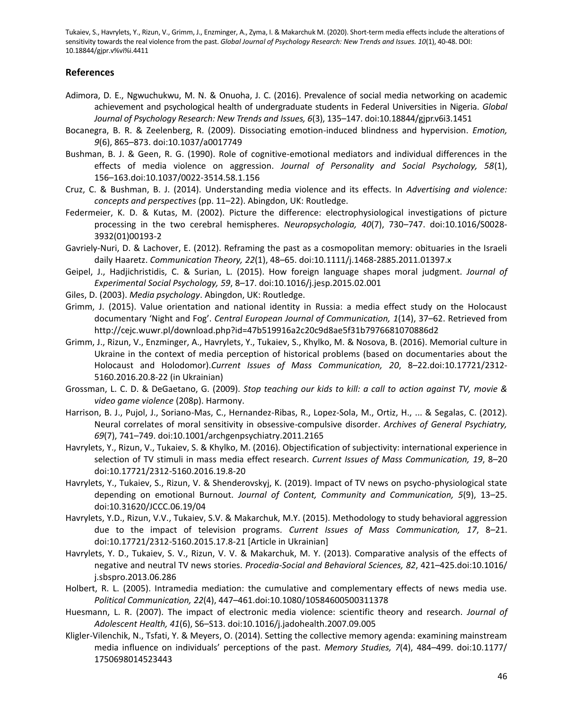### **References**

- Adimora, D. E., Ngwuchukwu, M. N. & Onuoha, J. C. (2016). Prevalence of social media networking on academic achievement and psychological health of undergraduate students in Federal Universities in Nigeria. *Global Journal of Psychology Research: New Trends and Issues, 6*(3), 135–147. doi:10.18844/gjpr.v6i3.1451
- Bocanegra, B. R. & Zeelenberg, R. (2009). Dissociating emotion-induced blindness and hypervision. *Emotion, 9*(6), 865–873. doi:10.1037/a0017749
- Bushman, B. J. & Geen, R. G. (1990). Role of cognitive-emotional mediators and individual differences in the effects of media violence on aggression. *Journal of Personality and Social Psychology, 58*(1), 156–163.doi:10.1037/0022-3514.58.1.156
- Cruz, C. & Bushman, B. J. (2014). Understanding media violence and its effects. In *Advertising and violence: concepts and perspectives* (pp. 11–22). Abingdon, UK: Routledge.
- Federmeier, K. D. & Kutas, M. (2002). Picture the difference: electrophysiological investigations of picture processing in the two cerebral hemispheres. *Neuropsychologia, 40*(7), 730–747. doi:10.1016/S0028- 3932(01)00193-2
- Gavriely‐Nuri, D. & Lachover, E. (2012). Reframing the past as a cosmopolitan memory: obituaries in the Israeli daily Haaretz. *Communication Theory, 22*(1), 48–65. doi:10.1111/j.1468-2885.2011.01397.x
- Geipel, J., Hadjichristidis, C. & Surian, L. (2015). How foreign language shapes moral judgment. *Journal of Experimental Social Psychology, 59*, 8–17. doi:10.1016/j.jesp.2015.02.001
- Giles, D. (2003). *Media psychology*. Abingdon, UK: Routledge.
- Grimm, J. (2015). Value orientation and national identity in Russia: a media effect study on the Holocaust documentary 'Night and Fog'. *Central European Journal of Communication, 1*(14), 37–62. Retrieved from http://cejc.wuwr.pl/download.php?id=47b519916a2c20c9d8ae5f31b7976681070886d2
- Grimm, J., Rizun, V., Enzminger, A., Havrylets, Y., Tukaiev, S., Khylko, M. & Nosova, B. (2016). Memorial culture in Ukraine in the context of media perception of historical problems (based on documentaries about the Holocaust and Holodomor).*Current Issues of Mass Communication, 20*, 8–22.doi:10.17721/2312- 5160.2016.20.8-22 (in Ukrainian)
- Grossman, L. C. D. & DeGaetano, G. (2009). *Stop teaching our kids to kill: a call to action against TV, movie & video game violence* (208p). Harmony.
- Harrison, B. J., Pujol, J., Soriano-Mas, C., Hernandez-Ribas, R., Lopez-Sola, M., Ortiz, H., ... & Segalas, C. (2012). Neural correlates of moral sensitivity in obsessive-compulsive disorder. *Archives of General Psychiatry, 69*(7), 741–749. doi:10.1001/archgenpsychiatry.2011.2165
- Havrylets, Y., Rizun, V., Tukaiev, S. & Khylko, M. (2016). Objectification of subjectivity: international experience in selection of TV stimuli in mass media effect research. *Current Issues of Mass Communication, 19*, 8–20 doi:10.17721/2312-5160.2016.19.8-20
- Havrylets, Y., Tukaiev, S., Rizun, V. & Shenderovskyj, K. (2019). Impact of TV news on psycho-physiological state depending on emotional Burnout. *Journal of Content, Community and Communication, 5*(9), 13–25. doi:10.31620/JCCC.06.19/04
- Havrylets, Y.D., Rizun, V.V., Tukaiev, S.V. & Makarchuk, M.Y. (2015). Methodology to study behavioral aggression due to the impact of television programs. *Current Issues of Mass Communication, 17*, 8–21. doi:10.17721/2312-5160.2015.17.8-21 [Article in Ukrainian]
- Havrylets, Y. D., Tukaiev, S. V., Rizun, V. V. & Makarchuk, M. Y. (2013). Comparative analysis of the effects of negative and neutral TV news stories. *Procedia-Social and Behavioral Sciences, 82*, 421–425.doi:10.1016/ j.sbspro.2013.06.286
- Holbert, R. L. (2005). Intramedia mediation: the cumulative and complementary effects of news media use. *Political Communication, 22*(4), 447–461.doi:10.1080/10584600500311378
- Huesmann, L. R. (2007). The impact of electronic media violence: scientific theory and research. *Journal of Adolescent Health, 41*(6), S6–S13. doi:10.1016/j.jadohealth.2007.09.005
- Kligler-Vilenchik, N., Tsfati, Y. & Meyers, O. (2014). Setting the collective memory agenda: examining mainstream media influence on individuals' perceptions of the past. *Memory Studies, 7*(4), 484–499. doi:10.1177/ 1750698014523443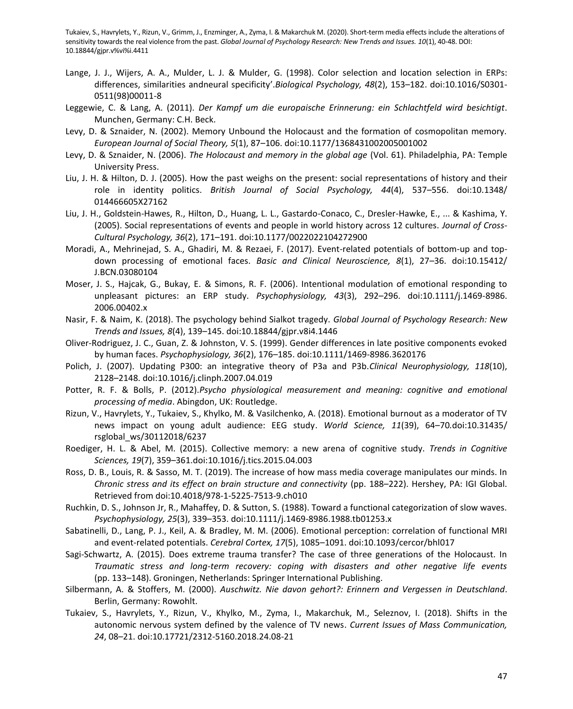- Lange, J. J., Wijers, A. A., Mulder, L. J. & Mulder, G. (1998). Color selection and location selection in ERPs: differences, similarities andneural specificity'.*Biological Psychology, 48*(2), 153–182. doi:10.1016/S0301- 0511(98)00011-8
- Leggewie, C. & Lang, A. (2011). *Der Kampf um die europaische Erinnerung: ein Schlachtfeld wird besichtigt*. Munchen, Germany: C.H. Beck.
- Levy, D. & Sznaider, N. (2002). Memory Unbound the Holocaust and the formation of cosmopolitan memory. *European Journal of Social Theory, 5*(1), 87–106. doi:10.1177/1368431002005001002
- Levy, D. & Sznaider, N. (2006). *The Holocaust and memory in the global age* (Vol. 61). Philadelphia, PA: Temple University Press.
- Liu, J. H. & Hilton, D. J. (2005). How the past weighs on the present: social representations of history and their role in identity politics. *British Journal of Social Psychology, 44*(4), 537–556. doi:10.1348/ 014466605X27162
- Liu, J. H., Goldstein-Hawes, R., Hilton, D., Huang, L. L., Gastardo-Conaco, C., Dresler-Hawke, E., ... & Kashima, Y. (2005). Social representations of events and people in world history across 12 cultures. *Journal of Cross-Cultural Psychology, 36*(2), 171–191. doi:10.1177/0022022104272900
- Moradi, A., Mehrinejad, S. A., Ghadiri, M. & Rezaei, F. (2017). Event-related potentials of bottom-up and topdown processing of emotional faces. *Basic and Clinical Neuroscience, 8*(1), 27–36. doi:10.15412/ J.BCN.03080104
- Moser, J. S., Hajcak, G., Bukay, E. & Simons, R. F. (2006). Intentional modulation of emotional responding to unpleasant pictures: an ERP study. *Psychophysiology, 43*(3), 292–296. doi:10.1111/j.1469-8986. 2006.00402.x
- Nasir, F. & Naim, K. (2018). The psychology behind Sialkot tragedy. *Global Journal of Psychology Research: New Trends and Issues, 8*(4), 139–145. doi:10.18844/gjpr.v8i4.1446
- Oliver-Rodriguez, J. C., Guan, Z. & Johnston, V. S. (1999). Gender differences in late positive components evoked by human faces. *Psychophysiology, 36*(2), 176–185. doi:10.1111/1469-8986.3620176
- Polich, J. (2007). Updating P300: an integrative theory of P3a and P3b.*Clinical Neurophysiology, 118*(10), 2128–2148. doi:10.1016/j.clinph.2007.04.019
- Potter, R. F. & Bolls, P. (2012).*Psycho physiological measurement and meaning: cognitive and emotional processing of media*. Abingdon, UK: Routledge.
- Rizun, V., Havrylets, Y., Tukaiev, S., Khylko, M. & Vasilchenko, A. (2018). Emotional burnout as a moderator of TV news impact on young adult audience: EEG study. *World Science, 11*(39), 64–70*.*doi:10.31435/ rsglobal\_ws/30112018/6237
- Roediger, H. L. & Abel, M. (2015). Collective memory: a new arena of cognitive study. *Trends in Cognitive Sciences, 19*(7), 359–361.doi:10.1016/j.tics.2015.04.003
- Ross, D. B., Louis, R. & Sasso, M. T. (2019). The increase of how mass media coverage manipulates our minds. In *Chronic stress and its effect on brain structure and connectivity* (pp. 188–222). Hershey, PA: IGI Global. Retrieved from doi:10.4018/978-1-5225-7513-9.ch010
- Ruchkin, D. S., Johnson Jr, R., Mahaffey, D. & Sutton, S. (1988). Toward a functional categorization of slow waves. *Psychophysiology, 25*(3), 339–353. doi:10.1111/j.1469-8986.1988.tb01253.x
- Sabatinelli, D., Lang, P. J., Keil, A. & Bradley, M. M. (2006). Emotional perception: correlation of functional MRI and event-related potentials. *Cerebral Cortex, 17*(5), 1085–1091. doi:10.1093/cercor/bhl017
- Sagi-Schwartz, A. (2015). Does extreme trauma transfer? The case of three generations of the Holocaust. In *Traumatic stress and long-term recovery: coping with disasters and other negative life events* (pp. 133–148). Groningen, Netherlands: Springer International Publishing.
- Silbermann, A. & Stoffers, M. (2000). *Auschwitz. Nie davon gehort?: Erinnern and Vergessen in Deutschland*. Berlin, Germany: Rowohlt.
- Tukaiev, S., Havrylets, Y., Rizun, V., Khylko, M., Zyma, I., Makarchuk, M., Seleznov, I. (2018). Shifts in the autonomic nervous system defined by the valence of TV news. *Current Issues of Mass Communication, 24*, 08–21. doi:10.17721/2312-5160.2018.24.08-21